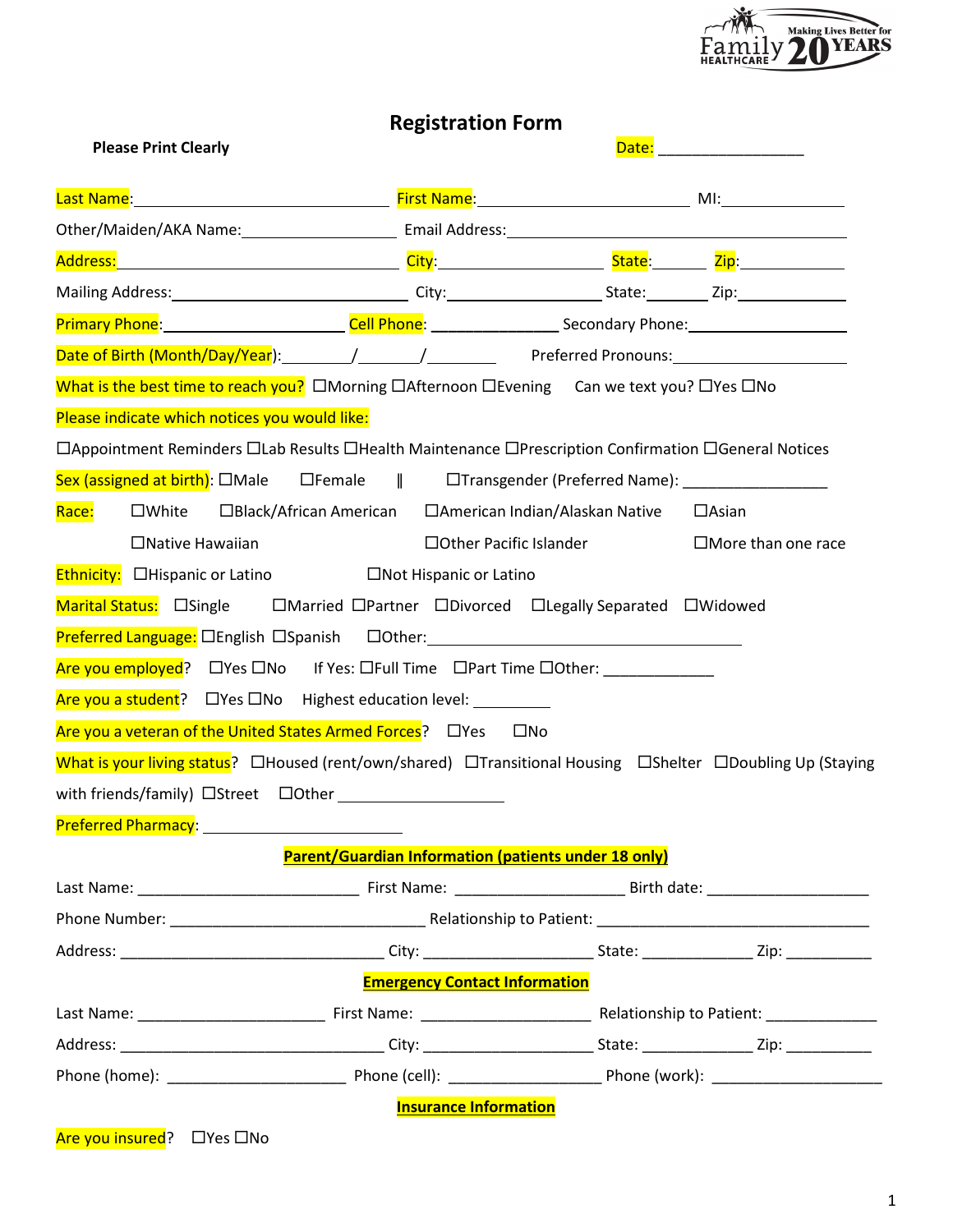

|                                                                                                                                    | <b>Registration Form</b>                             |                          |                              |
|------------------------------------------------------------------------------------------------------------------------------------|------------------------------------------------------|--------------------------|------------------------------|
| <b>Please Print Clearly</b>                                                                                                        |                                                      |                          | Date: ______________________ |
|                                                                                                                                    |                                                      |                          |                              |
| Other/Maiden/AKA Name: Cambridge Email Address: Cambridge Physics And Theory Contract Communication Contract C                     |                                                      |                          |                              |
|                                                                                                                                    |                                                      |                          |                              |
|                                                                                                                                    |                                                      |                          |                              |
| Primary Phone: 1980 Cell Phone: 2008 Comparison Secondary Phone: 2008 Comparison Phone: 2008 Comparison Phone:                     |                                                      |                          |                              |
|                                                                                                                                    |                                                      |                          |                              |
| What is the best time to reach you? $\Box$ Morning $\Box$ Afternoon $\Box$ Evening Can we text you? $\Box$ Yes $\Box$ No           |                                                      |                          |                              |
| Please indicate which notices you would like:                                                                                      |                                                      |                          |                              |
| □ Appointment Reminders □ Lab Results □ Health Maintenance □ Prescription Confirmation □ General Notices                           |                                                      |                          |                              |
| Sex (assigned at birth): $\square$ Male $\square$ Female $\parallel$ $\square$ Transgender (Preferred Name): ____________________  |                                                      |                          |                              |
| □White □Black/African American □American Indian/Alaskan Native □Asian<br>Race:                                                     |                                                      |                          |                              |
| $\Box$ Native Hawaiian                                                                                                             |                                                      | □ Other Pacific Islander | $\Box$ More than one race    |
| Ethnicity: <b>Dhispanic or Latino</b> DNot Hispanic or Latino                                                                      |                                                      |                          |                              |
| Marital Status: ElSingle EMarried EPartner EDivorced ELegally Separated EWidowed                                                   |                                                      |                          |                              |
|                                                                                                                                    |                                                      |                          |                              |
| Are you employed? $\Box$ Yes $\Box$ No If Yes: $\Box$ Full Time $\Box$ Part Time $\Box$ Other:                                     |                                                      |                          |                              |
| Are you a student? □ Yes □ No Highest education level: _________________________                                                   |                                                      |                          |                              |
| Are you a veteran of the United States Armed Forces? □ □ Yes                                                                       |                                                      | $\square$ No             |                              |
| What is your living status? $\Box$ Housed (rent/own/shared) $\Box$ Transitional Housing $\Box$ Shelter $\Box$ Doubling Up (Staying |                                                      |                          |                              |
|                                                                                                                                    |                                                      |                          |                              |
| Preferred Pharmacy: 1997-1997                                                                                                      |                                                      |                          |                              |
|                                                                                                                                    | Parent/Guardian Information (patients under 18 only) |                          |                              |
|                                                                                                                                    |                                                      |                          |                              |
|                                                                                                                                    |                                                      |                          |                              |
|                                                                                                                                    |                                                      |                          |                              |
|                                                                                                                                    | <b>Emergency Contact Information</b>                 |                          |                              |
|                                                                                                                                    |                                                      |                          |                              |
|                                                                                                                                    |                                                      |                          |                              |
|                                                                                                                                    |                                                      |                          |                              |
|                                                                                                                                    | <b>Insurance Information</b>                         |                          |                              |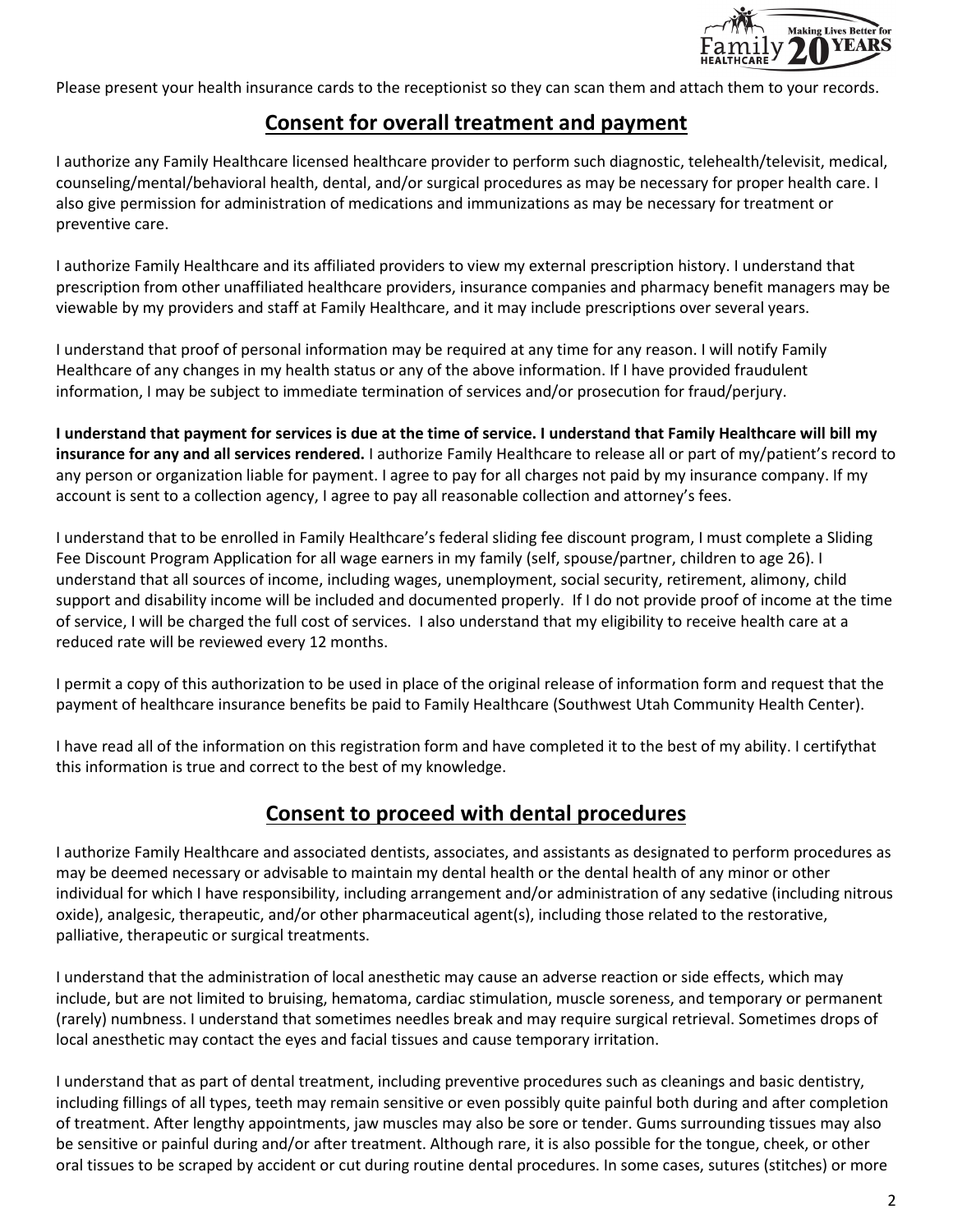

Please present your health insurance cards to the receptionist so they can scan them and attach them to your records.

# **Consent for overall treatment and payment**

I authorize any Family Healthcare licensed healthcare provider to perform such diagnostic, telehealth/televisit, medical, counseling/mental/behavioral health, dental, and/or surgical procedures as may be necessary for proper health care. I also give permission for administration of medications and immunizations as may be necessary for treatment or preventive care.

I authorize Family Healthcare and its affiliated providers to view my external prescription history. I understand that prescription from other unaffiliated healthcare providers, insurance companies and pharmacy benefit managers may be viewable by my providers and staff at Family Healthcare, and it may include prescriptions over several years.

I understand that proof of personal information may be required at any time for any reason. I will notify Family Healthcare of any changes in my health status or any of the above information. If I have provided fraudulent information, I may be subject to immediate termination of services and/or prosecution for fraud/perjury.

**I understand that payment for services is due at the time of service. I understand that Family Healthcare will bill my insurance for any and all services rendered.** I authorize Family Healthcare to release all or part of my/patient's record to any person or organization liable for payment. I agree to pay for all charges not paid by my insurance company. If my account is sent to a collection agency, I agree to pay all reasonable collection and attorney's fees.

I understand that to be enrolled in Family Healthcare's federal sliding fee discount program, I must complete a Sliding Fee Discount Program Application for all wage earners in my family (self, spouse/partner, children to age 26). I understand that all sources of income, including wages, unemployment, social security, retirement, alimony, child support and disability income will be included and documented properly. If I do not provide proof of income at the time of service, I will be charged the full cost of services. I also understand that my eligibility to receive health care at a reduced rate will be reviewed every 12 months.

I permit a copy of this authorization to be used in place of the original release of information form and request that the payment of healthcare insurance benefits be paid to Family Healthcare (Southwest Utah Community Health Center).

I have read all of the information on this registration form and have completed it to the best of my ability. I certifythat this information is true and correct to the best of my knowledge.

# **Consent to proceed with dental procedures**

I authorize Family Healthcare and associated dentists, associates, and assistants as designated to perform procedures as may be deemed necessary or advisable to maintain my dental health or the dental health of any minor or other individual for which I have responsibility, including arrangement and/or administration of any sedative (including nitrous oxide), analgesic, therapeutic, and/or other pharmaceutical agent(s), including those related to the restorative, palliative, therapeutic or surgical treatments.

I understand that the administration of local anesthetic may cause an adverse reaction or side effects, which may include, but are not limited to bruising, hematoma, cardiac stimulation, muscle soreness, and temporary or permanent (rarely) numbness. I understand that sometimes needles break and may require surgical retrieval. Sometimes drops of local anesthetic may contact the eyes and facial tissues and cause temporary irritation.

I understand that as part of dental treatment, including preventive procedures such as cleanings and basic dentistry, including fillings of all types, teeth may remain sensitive or even possibly quite painful both during and after completion of treatment. After lengthy appointments, jaw muscles may also be sore or tender. Gums surrounding tissues may also be sensitive or painful during and/or after treatment. Although rare, it is also possible for the tongue, cheek, or other oral tissues to be scraped by accident or cut during routine dental procedures. In some cases, sutures (stitches) or more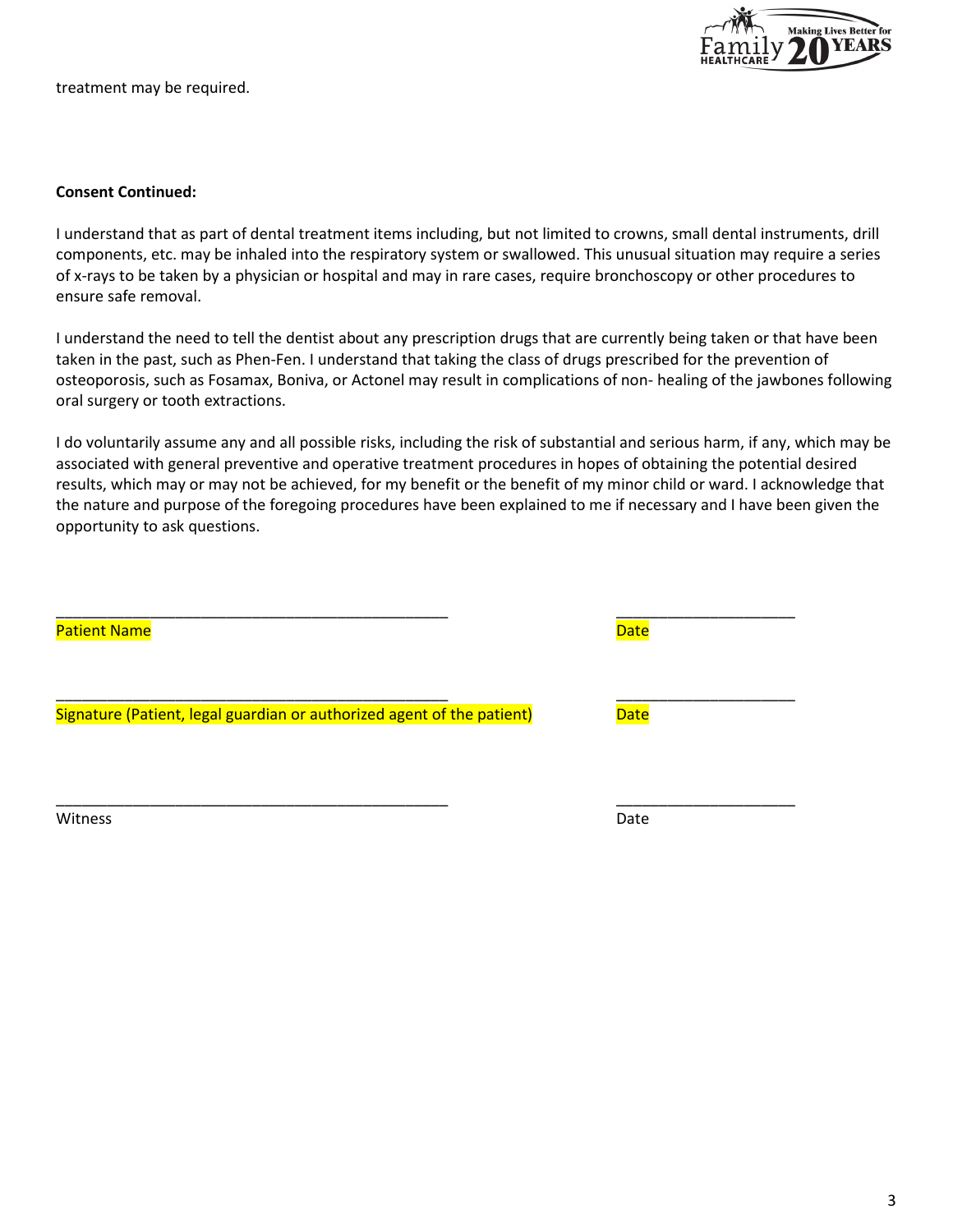**Making Lives Better for** 

treatment may be required.

### **Consent Continued:**

I understand that as part of dental treatment items including, but not limited to crowns, small dental instruments, drill components, etc. may be inhaled into the respiratory system or swallowed. This unusual situation may require a series of x-rays to be taken by a physician or hospital and may in rare cases, require bronchoscopy or other procedures to ensure safe removal.

I understand the need to tell the dentist about any prescription drugs that are currently being taken or that have been taken in the past, such as Phen-Fen. I understand that taking the class of drugs prescribed for the prevention of osteoporosis, such as Fosamax, Boniva, or Actonel may result in complications of non- healing of the jawbones following oral surgery or tooth extractions.

I do voluntarily assume any and all possible risks, including the risk of substantial and serious harm, if any, which may be associated with general preventive and operative treatment procedures in hopes of obtaining the potential desired results, which may or may not be achieved, for my benefit or the benefit of my minor child or ward. I acknowledge that the nature and purpose of the foregoing procedures have been explained to me if necessary and I have been given the opportunity to ask questions.

\_\_\_\_\_\_\_\_\_\_\_\_\_\_\_\_\_\_\_\_\_\_\_\_\_\_\_\_\_\_\_\_\_\_\_\_\_\_\_\_\_\_\_\_\_\_ \_\_\_\_\_\_\_\_\_\_\_\_\_\_\_\_\_\_\_\_\_

Witness **Date** 

| <b>Patient Name</b>                                                    | <b>Date</b> |
|------------------------------------------------------------------------|-------------|
| Signature (Patient, legal guardian or authorized agent of the patient) | <b>Date</b> |
|                                                                        |             |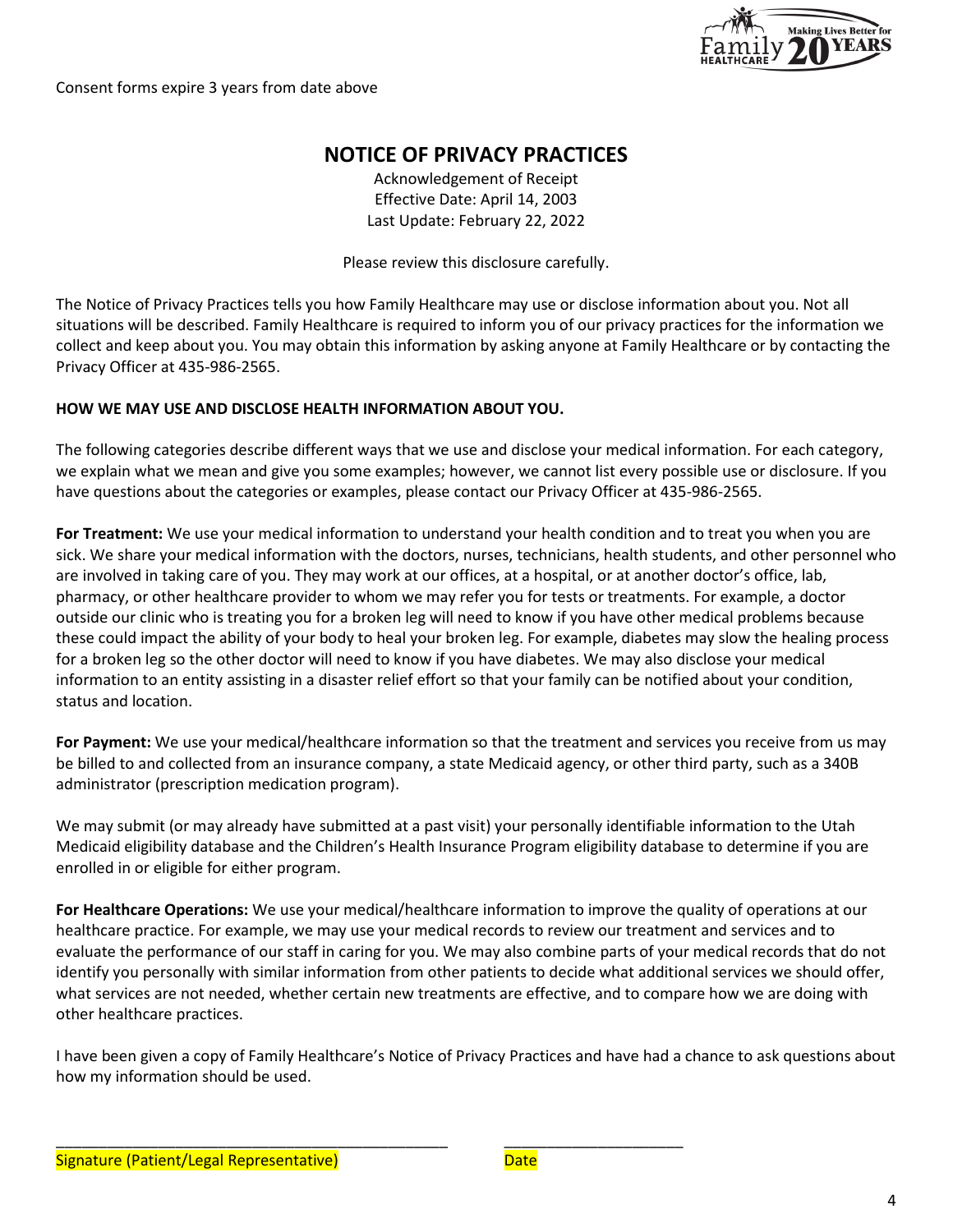

Consent forms expire 3 years from date above

# **NOTICE OF PRIVACY PRACTICES**

Acknowledgement of Receipt Effective Date: April 14, 2003 Last Update: February 22, 2022

Please review this disclosure carefully.

The Notice of Privacy Practices tells you how Family Healthcare may use or disclose information about you. Not all situations will be described. Family Healthcare is required to inform you of our privacy practices for the information we collect and keep about you. You may obtain this information by asking anyone at Family Healthcare or by contacting the Privacy Officer at 435-986-2565.

### **HOW WE MAY USE AND DISCLOSE HEALTH INFORMATION ABOUT YOU.**

The following categories describe different ways that we use and disclose your medical information. For each category, we explain what we mean and give you some examples; however, we cannot list every possible use or disclosure. If you have questions about the categories or examples, please contact our Privacy Officer at 435-986-2565.

**For Treatment:** We use your medical information to understand your health condition and to treat you when you are sick. We share your medical information with the doctors, nurses, technicians, health students, and other personnel who are involved in taking care of you. They may work at our offices, at a hospital, or at another doctor's office, lab, pharmacy, or other healthcare provider to whom we may refer you for tests or treatments. For example, a doctor outside our clinic who is treating you for a broken leg will need to know if you have other medical problems because these could impact the ability of your body to heal your broken leg. For example, diabetes may slow the healing process for a broken leg so the other doctor will need to know if you have diabetes. We may also disclose your medical information to an entity assisting in a disaster relief effort so that your family can be notified about your condition, status and location.

**For Payment:** We use your medical/healthcare information so that the treatment and services you receive from us may be billed to and collected from an insurance company, a state Medicaid agency, or other third party, such as a 340B administrator (prescription medication program).

We may submit (or may already have submitted at a past visit) your personally identifiable information to the Utah Medicaid eligibility database and the Children's Health Insurance Program eligibility database to determine if you are enrolled in or eligible for either program.

**For Healthcare Operations:** We use your medical/healthcare information to improve the quality of operations at our healthcare practice. For example, we may use your medical records to review our treatment and services and to evaluate the performance of our staff in caring for you. We may also combine parts of your medical records that do not identify you personally with similar information from other patients to decide what additional services we should offer, what services are not needed, whether certain new treatments are effective, and to compare how we are doing with other healthcare practices.

I have been given a copy of Family Healthcare's Notice of Privacy Practices and have had a chance to ask questions about how my information should be used.

\_\_\_\_\_\_\_\_\_\_\_\_\_\_\_\_\_\_\_\_\_\_\_\_\_\_\_\_\_\_\_\_\_\_\_\_\_\_\_\_\_\_\_\_\_\_ \_\_\_\_\_\_\_\_\_\_\_\_\_\_\_\_\_\_\_\_\_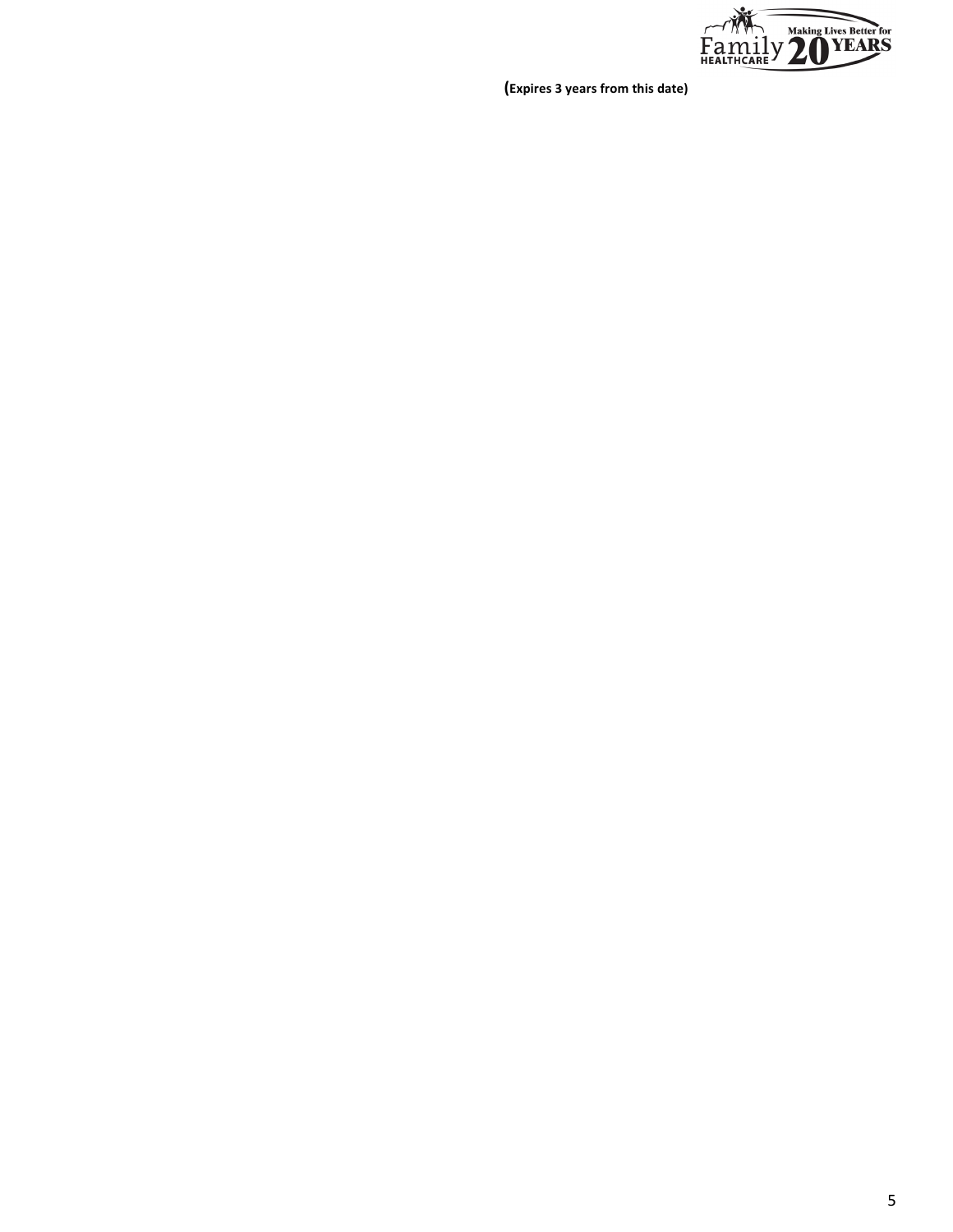

**(Expires 3 years from this date)**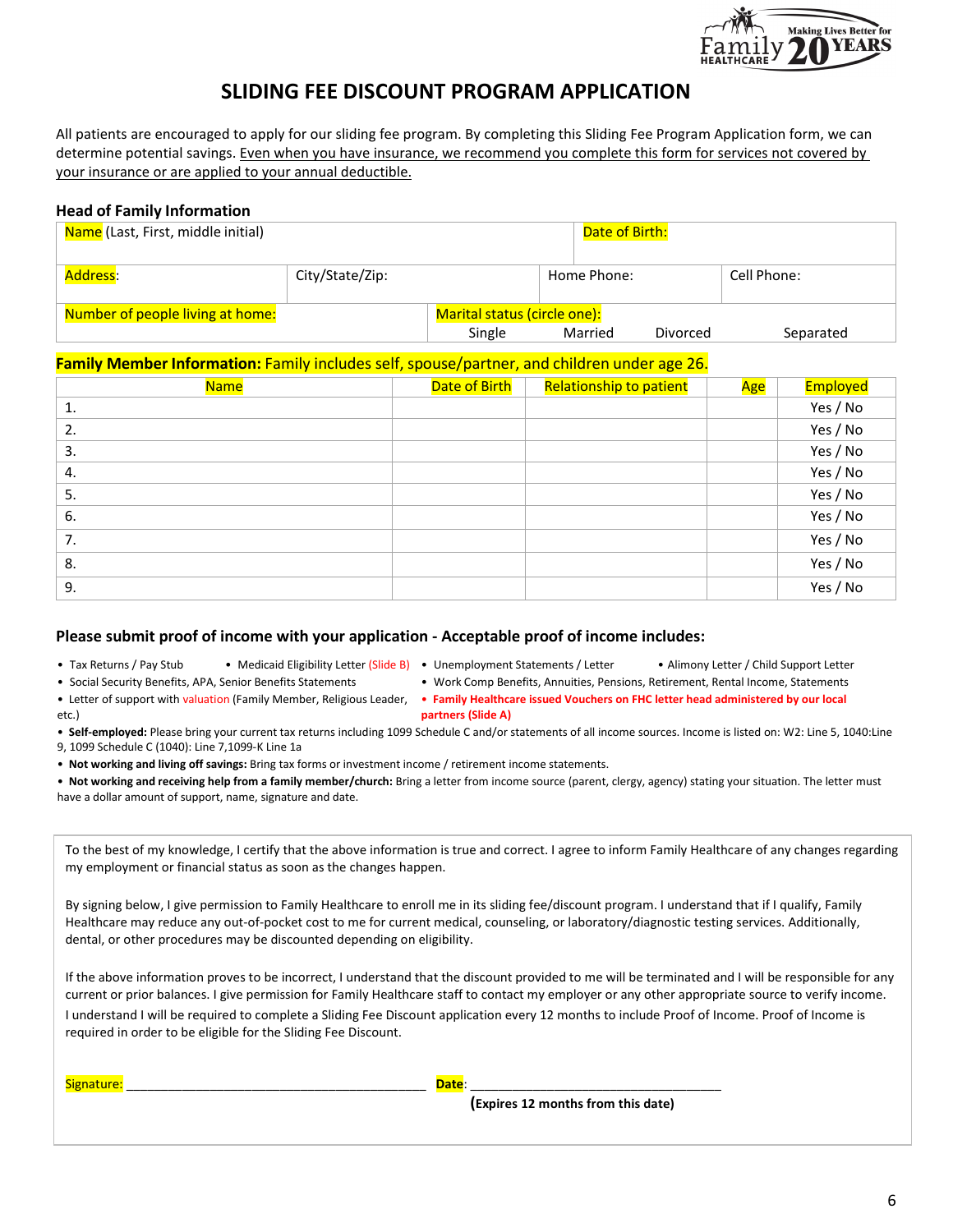

# **SLIDING FEE DISCOUNT PROGRAM APPLICATION**

All patients are encouraged to apply for our sliding fee program. By completing this Sliding Fee Program Application form, we can determine potential savings. Even when you have insurance, we recommend you complete this form for services not covered by your insurance or are applied to your annual deductible.

#### **Head of Family Information**

| Name (Last, First, middle initial) |                 |                              | Date of Birth: |          |             |
|------------------------------------|-----------------|------------------------------|----------------|----------|-------------|
| Address:                           | City/State/Zip: |                              | Home Phone:    |          | Cell Phone: |
| Number of people living at home:   |                 | Marital status (circle one): |                |          |             |
|                                    |                 | Single                       | Married        | Divorced | Separated   |

### **Family Member Information:** Family includes self, spouse/partner, and children under age 26.

| <b>Name</b> | Date of Birth | <b>Relationship to patient</b> | Age | Employed |
|-------------|---------------|--------------------------------|-----|----------|
| 1.          |               |                                |     | Yes / No |
| 2.          |               |                                |     | Yes / No |
| 3.          |               |                                |     | Yes / No |
| 4.          |               |                                |     | Yes / No |
| 5.          |               |                                |     | Yes / No |
| 6.          |               |                                |     | Yes / No |
| 7.          |               |                                |     | Yes / No |
| 8.          |               |                                |     | Yes / No |
| 9.          |               |                                |     | Yes / No |

#### **Please submit proof of income with your application - Acceptable proof of income includes:**

- Tax Returns / Pay Stub Medicaid Eligibility Letter (Slide B) Unemployment Statements / Letter • Alimony Letter / Child Support Letter
- 
- Social Security Benefits, APA, Senior Benefits Statements Work Comp Benefits, Annuities, Pensions, Retirement, Rental Income, Statements • **Family Healthcare issued Vouchers on FHC letter head administered by our local**
- Letter of support with valuation (Family Member, Religious Leader, etc.)
- • **Self-employed:** Please bring your current tax returns including 1099 Schedule C and/or statements of all income sources. Income is listed on: W2: Line 5, 1040:Line 9, 1099 Schedule C (1040): Line 7,1099-K Line 1a

**partners (Slide A)**

- • **Not working and living off savings:** Bring tax forms or investment income / retirement income statements.
- • **Not working and receiving help from a family member/church:** Bring a letter from income source (parent, clergy, agency) stating your situation. The letter must have a dollar amount of support, name, signature and date.

| To the best of my knowledge, I certify that the above information is true and correct. I agree to inform Family Healthcare of any changes regarding |
|-----------------------------------------------------------------------------------------------------------------------------------------------------|
| my employment or financial status as soon as the changes happen.                                                                                    |

By signing below, I give permission to Family Healthcare to enroll me in its sliding fee/discount program. I understand that if I qualify, Family Healthcare may reduce any out-of-pocket cost to me for current medical, counseling, or laboratory/diagnostic testing services. Additionally, dental, or other procedures may be discounted depending on eligibility.

If the above information proves to be incorrect, I understand that the discount provided to me will be terminated and I will be responsible for any current or prior balances. I give permission for Family Healthcare staff to contact my employer or any other appropriate source to verify income. I understand I will be required to complete a Sliding Fee Discount application every 12 months to include Proof of Income. Proof of Income is required in order to be eligible for the Sliding Fee Discount.

Signature: \_\_\_\_\_\_\_\_\_\_\_\_\_\_\_\_\_\_\_\_\_\_\_\_\_\_\_\_\_\_\_\_\_\_\_\_\_\_\_\_\_\_\_ **Date**: \_\_\_\_\_\_\_\_\_\_\_\_\_\_\_\_\_\_\_\_\_\_\_\_\_\_\_\_\_\_\_\_\_\_\_\_

**(Expires 12 months from this date)**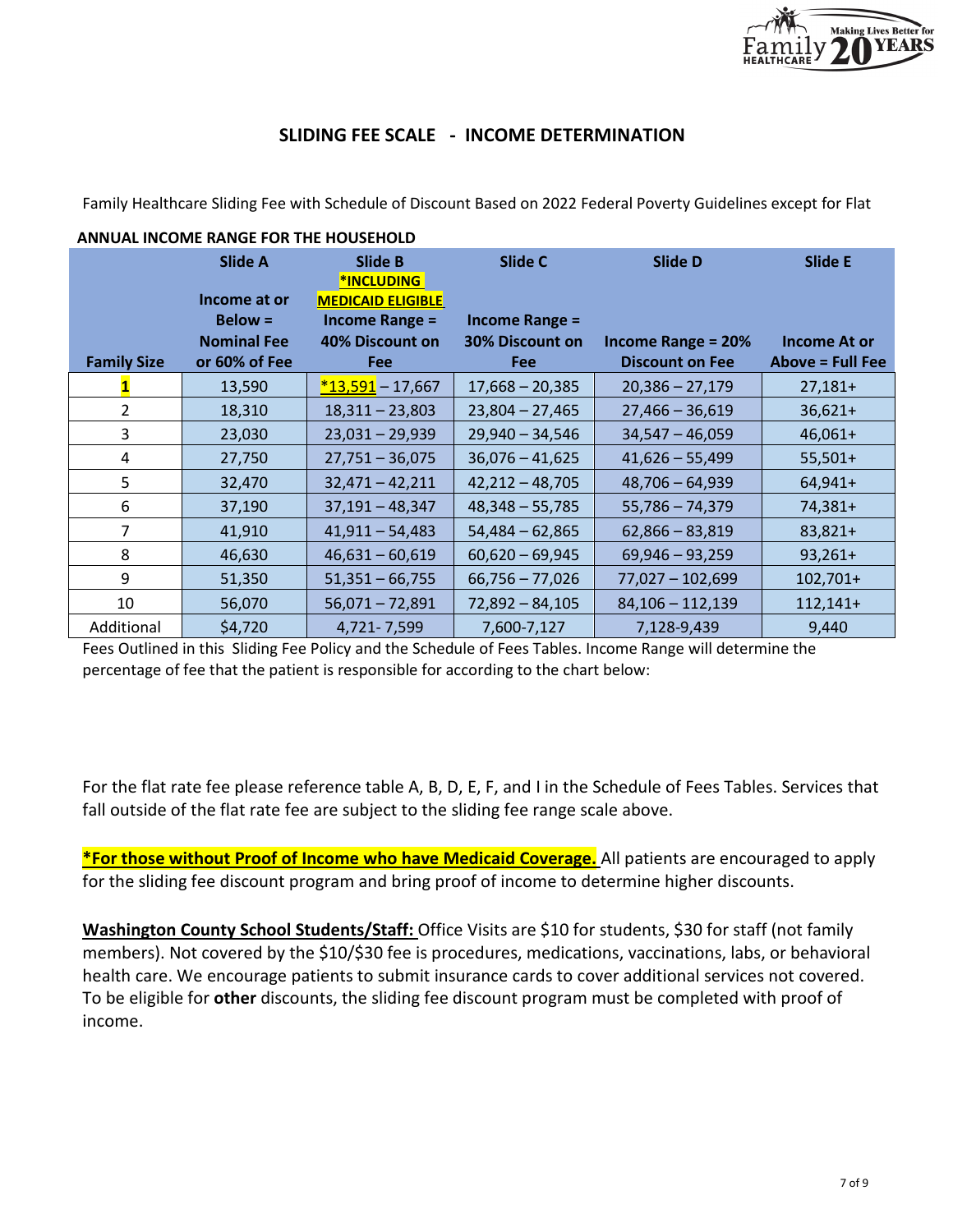

## **SLIDING FEE SCALE - INCOME DETERMINATION**

Family Healthcare Sliding Fee with Schedule of Discount Based on 2022 Federal Poverty Guidelines except for Flat

|                    | <b>ANNUAL INCOME RANGE FOR THE HOUSEHOLD</b> |                                                   |                        |                           |                         |
|--------------------|----------------------------------------------|---------------------------------------------------|------------------------|---------------------------|-------------------------|
|                    | <b>Slide A</b>                               | Slide B<br><b>*INCLUDING</b>                      | Slide C                | <b>Slide D</b>            | <b>Slide E</b>          |
|                    | Income at or<br>$Below =$                    | <b>MEDICAID ELIGIBLE</b><br><b>Income Range =</b> | <b>Income Range =</b>  |                           |                         |
|                    | <b>Nominal Fee</b>                           | 40% Discount on                                   | <b>30% Discount on</b> | <b>Income Range = 20%</b> | <b>Income At or</b>     |
| <b>Family Size</b> | or 60% of Fee                                | <b>Fee</b>                                        | <b>Fee</b>             | <b>Discount on Fee</b>    | <b>Above = Full Fee</b> |
|                    | 13,590                                       | $*13,591 - 17,667$                                | $17,668 - 20,385$      | $20,386 - 27,179$         | $27,181+$               |
| $\overline{2}$     | 18,310                                       | $18,311 - 23,803$                                 | $23,804 - 27,465$      | $27,466 - 36,619$         | $36,621+$               |
| 3                  | 23,030                                       | $23,031 - 29,939$                                 | $29,940 - 34,546$      | $34,547 - 46,059$         | $46,061+$               |
| 4                  | 27,750                                       | $27,751 - 36,075$                                 | $36,076 - 41,625$      | $41,626 - 55,499$         | $55,501+$               |
| 5                  | 32,470                                       | $32,471 - 42,211$                                 | $42,212 - 48,705$      | $48,706 - 64,939$         | $64,941+$               |
| 6                  | 37,190                                       | $37,191 - 48,347$                                 | $48,348 - 55,785$      | $55,786 - 74,379$         | 74,381+                 |
| $\overline{7}$     | 41,910                                       | $41,911 - 54,483$                                 | $54,484 - 62,865$      | $62,866 - 83,819$         | 83,821+                 |
| 8                  | 46,630                                       | $46,631 - 60,619$                                 | $60,620 - 69,945$      | $69,946 - 93,259$         | $93,261+$               |
| 9                  | 51,350                                       | $51,351 - 66,755$                                 | $66,756 - 77,026$      | $77,027 - 102,699$        | $102,701+$              |
| 10                 | 56,070                                       | $56,071 - 72,891$                                 | $72,892 - 84,105$      | $84,106 - 112,139$        | $112,141+$              |
| Additional         | \$4,720                                      | 4,721-7,599                                       | 7,600-7,127            | 7,128-9,439               | 9,440                   |

Fees Outlined in this Sliding Fee Policy and the Schedule of Fees Tables. Income Range will determine the percentage of fee that the patient is responsible for according to the chart below:

For the flat rate fee please reference table A, B, D, E, F, and I in the Schedule of Fees Tables. Services that fall outside of the flat rate fee are subject to the sliding fee range scale above.

**\*For those without Proof of Income who have Medicaid Coverage.** All patients are encouraged to apply for the sliding fee discount program and bring proof of income to determine higher discounts.

**Washington County School Students/Staff:** Office Visits are \$10 for students, \$30 for staff (not family members). Not covered by the \$10/\$30 fee is procedures, medications, vaccinations, labs, or behavioral health care. We encourage patients to submit insurance cards to cover additional services not covered. To be eligible for **other** discounts, the sliding fee discount program must be completed with proof of income.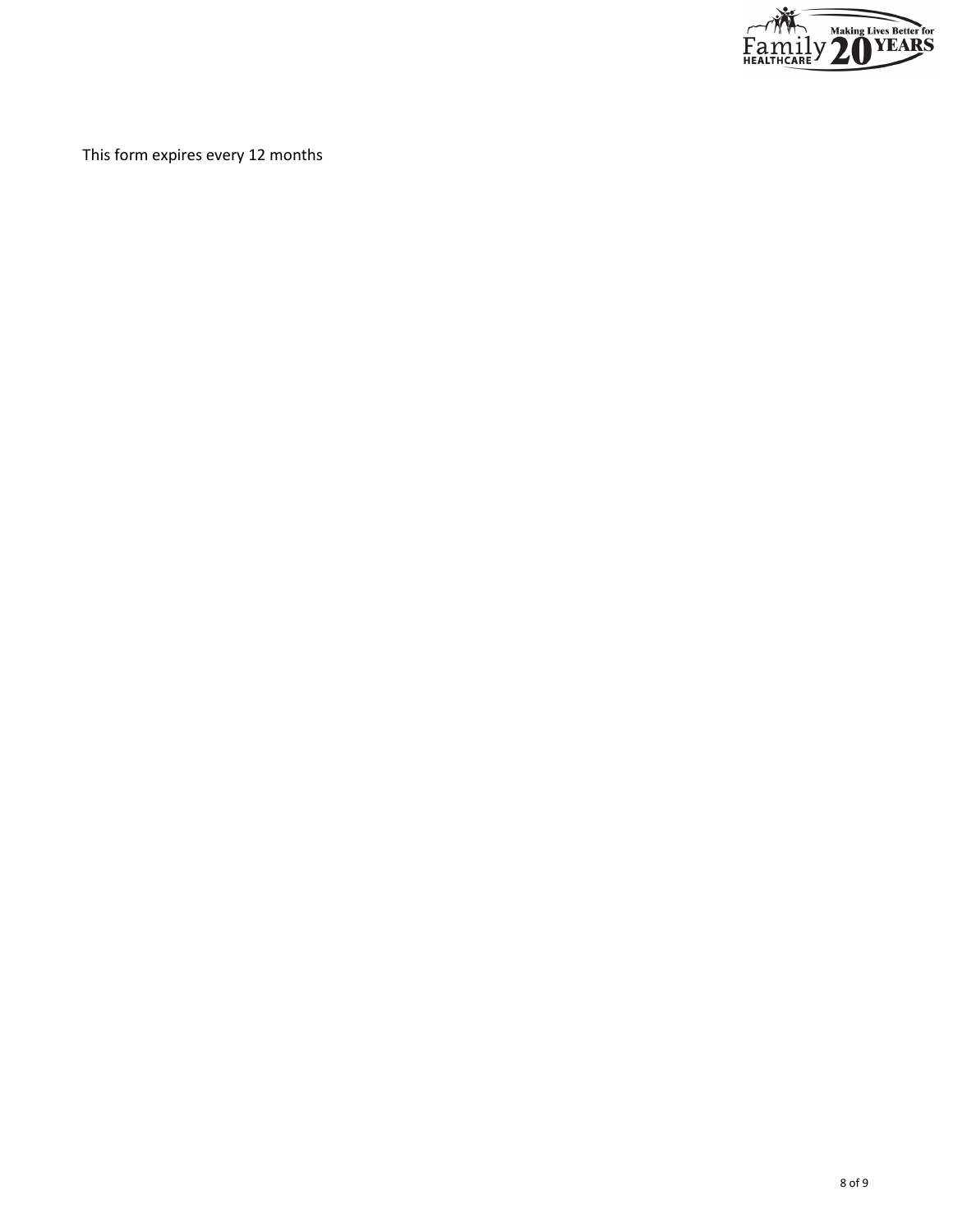

This form expires every 12 months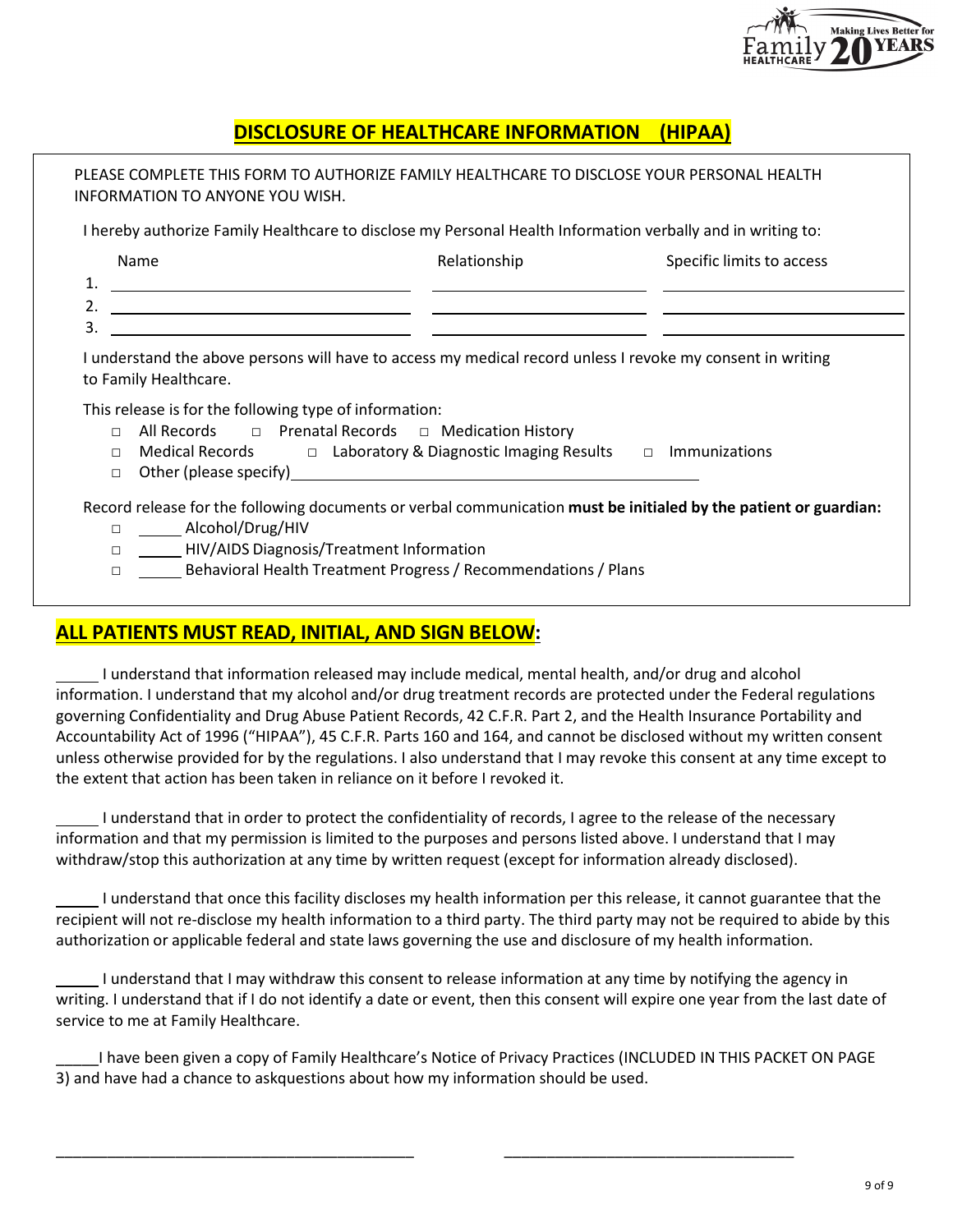

# **DISCLOSURE OF HEALTHCARE INFORMATION (HIPAA)**

| Name                                                                                 | I hereby authorize Family Healthcare to disclose my Personal Health Information verbally and in writing to:<br>Relationship                                                                                                          | Specific limits to access |
|--------------------------------------------------------------------------------------|--------------------------------------------------------------------------------------------------------------------------------------------------------------------------------------------------------------------------------------|---------------------------|
| 1.<br><u> 1989 - Jan Barnett, fransk politiker (d. 1989)</u>                         |                                                                                                                                                                                                                                      |                           |
| 2.                                                                                   | <u> 1989 - Johann Harry Harry Harry Harry Harry Harry Harry Harry Harry Harry Harry Harry Harry Harry Harry Harry Harry Harry Harry Harry Harry Harry Harry Harry Harry Harry Harry Harry Harry Harry Harry Harry Harry Harry Ha</u> |                           |
| 3.                                                                                   | <u> 1980 - Andrea Andrew Maria (b. 1980)</u>                                                                                                                                                                                         |                           |
|                                                                                      | I understand the above persons will have to access my medical record unless I revoke my consent in writing                                                                                                                           |                           |
| $\Box$<br>п                                                                          | All Records $\Box$ Prenatal Records $\Box$ Medication History<br>Medical Records $\Box$ Laboratory & Diagnostic Imaging Results $\Box$ Immunizations                                                                                 |                           |
| to Family Healthcare.<br>This release is for the following type of information:<br>□ | Other (please specify) example and the state of the state of the state of the state of the state of the state of the state of the state of the state of the state of the state of the state of the state of the state of the s       |                           |
| □ _____ Alcohol/Drug/HIV                                                             | Record release for the following documents or verbal communication must be initialed by the patient or guardian:                                                                                                                     |                           |

## **ALL PATIENTS MUST READ, INITIAL, AND SIGN BELOW:**

 I understand that information released may include medical, mental health, and/or drug and alcohol information. I understand that my alcohol and/or drug treatment records are protected under the Federal regulations governing Confidentiality and Drug Abuse Patient Records, 42 C.F.R. Part 2, and the Health Insurance Portability and Accountability Act of 1996 ("HIPAA"), 45 C.F.R. Parts 160 and 164, and cannot be disclosed without my written consent unless otherwise provided for by the regulations. I also understand that I may revoke this consent at any time except to the extent that action has been taken in reliance on it before I revoked it.

 I understand that in order to protect the confidentiality of records, I agree to the release of the necessary information and that my permission is limited to the purposes and persons listed above. I understand that I may withdraw/stop this authorization at any time by written request (except for information already disclosed).

 I understand that once this facility discloses my health information per this release, it cannot guarantee that the recipient will not re-disclose my health information to a third party. The third party may not be required to abide by this authorization or applicable federal and state laws governing the use and disclosure of my health information.

 I understand that I may withdraw this consent to release information at any time by notifying the agency in writing. I understand that if I do not identify a date or event, then this consent will expire one year from the last date of service to me at Family Healthcare.

I have been given a copy of Family Healthcare's Notice of Privacy Practices (INCLUDED IN THIS PACKET ON PAGE 3) and have had a chance to askquestions about how my information should be used.

\_\_\_\_\_\_\_\_\_\_\_\_\_\_\_\_\_\_\_\_\_\_\_\_\_\_\_\_\_\_\_\_\_\_\_\_\_\_\_\_\_\_ \_\_\_\_\_\_\_\_\_\_\_\_\_\_\_\_\_\_\_\_\_\_\_\_\_\_\_\_\_\_\_\_\_\_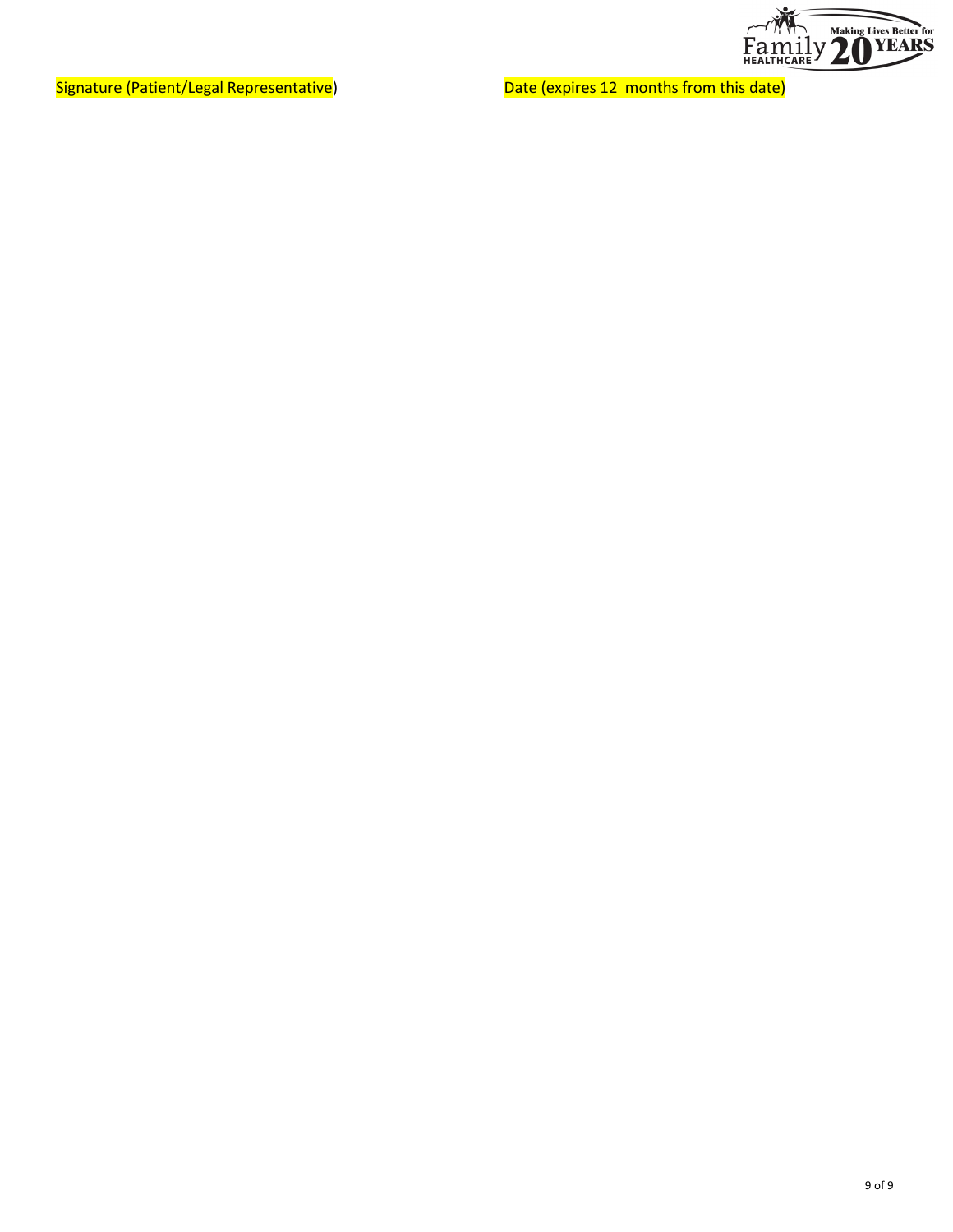

Signature (Patient/Legal Representative) Machines 20 and Compate (expires 12 months from this date)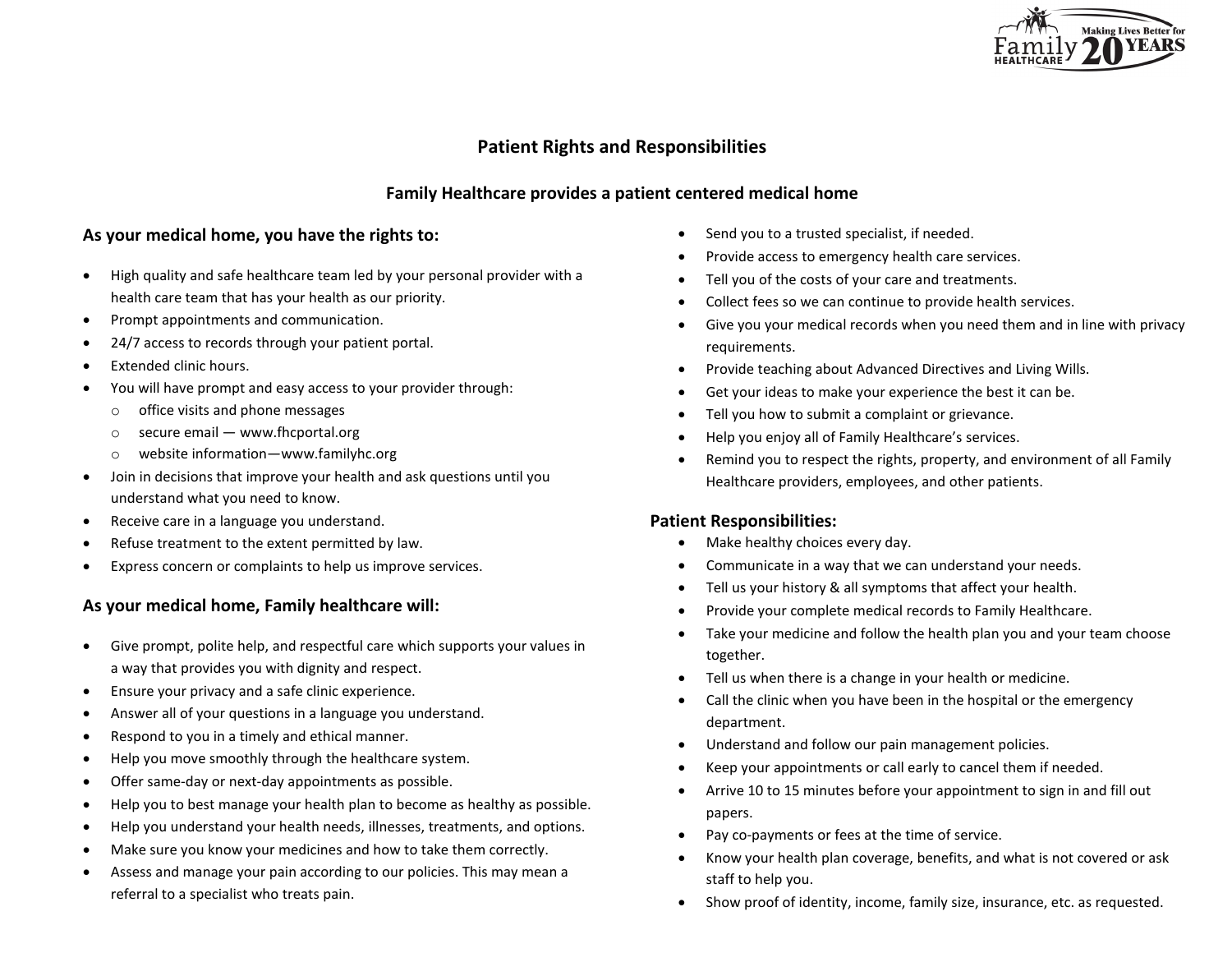

## **Patient Rights and Responsibilities**

## **Family Healthcare provides a patient centered medical home**

### **As your medical home, you have the rights to:**

- High quality and safe healthcare team led by your personal provider with a health care team that has your health as our priority.
- Prompt appointments and communication.
- 24/7 access to records through your patient portal.
- Extended clinic hours.
- You will have prompt and easy access to your provider through:
	- o office visits and phone messages
	- o secure email www.fhcportal.org
	- o website information—www.familyhc.org
- Join in decisions that improve your health and ask questions until you understand what you need to know.
- Receive care in a language you understand.
- Refuse treatment to the extent permitted by law.
- Express concern or complaints to help us improve services.

### **As your medical home, Family healthcare will:**

- Give prompt, polite help, and respectful care which supports your values in a way that provides you with dignity and respect.
- Ensure your privacy and a safe clinic experience.
- Answer all of your questions in a language you understand.
- Respond to you in a timely and ethical manner.
- Help you move smoothly through the healthcare system.
- Offer same-day or next-day appointments as possible.
- Help you to best manage your health plan to become as healthy as possible.
- Help you understand your health needs, illnesses, treatments, and options.
- Make sure you know your medicines and how to take them correctly.
- Assess and manage your pain according to our policies. This may mean a referral to a specialist who treats pain.
- Send you to a trusted specialist, if needed.
- Provide access to emergency health care services.
- Tell you of the costs of your care and treatments.
- Collect fees so we can continue to provide health services.
- Give you your medical records when you need them and in line with privacy requirements.
- Provide teaching about Advanced Directives and Living Wills.
- Get your ideas to make your experience the best it can be.
- Tell you how to submit a complaint or grievance.
- Help you enjoy all of Family Healthcare's services.
- Remind you to respect the rights, property, and environment of all Family Healthcare providers, employees, and other patients.

### **Patient Responsibilities:**

- Make healthy choices every day.
- Communicate in a way that we can understand your needs.
- Tell us your history & all symptoms that affect your health.
- Provide your complete medical records to Family Healthcare.
- Take your medicine and follow the health plan you and your team choose together.
- Tell us when there is a change in your health or medicine.
- Call the clinic when you have been in the hospital or the emergency department.
- Understand and follow our pain management policies.
- Keep your appointments or call early to cancel them if needed.
- Arrive 10 to 15 minutes before your appointment to sign in and fill out papers.
- Pay co-payments or fees at the time of service.
- Know your health plan coverage, benefits, and what is not covered or ask staff to help you.
- Show proof of identity, income, family size, insurance, etc. as requested.